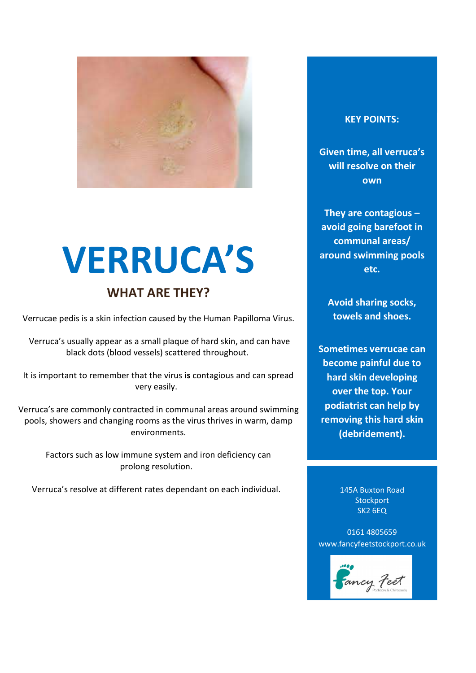

# VERRUCA'S

### WHAT ARE THEY?

Verrucae pedis is a skin infection caused by the Human Papilloma Virus.

 Verruca's usually appear as a small plaque of hard skin, and can have black dots (blood vessels) scattered throughout.

It is important to remember that the virus is contagious and can spread very easily.

Verruca's are commonly contracted in communal areas around swimming pools, showers and changing rooms as the virus thrives in warm, damp environments.

Factors such as low immune system and iron deficiency can prolong resolution.

Verruca's resolve at different rates dependant on each individual.

### KEY POINTS:

Given time, all verruca's will resolve on their own

They are contagious – avoid going barefoot in communal areas/ around swimming pools etc.

Avoid sharing socks, towels and shoes.

Sometimes verrucae can become painful due to hard skin developing over the top. Your podiatrist can help by removing this hard skin (debridement).

> 145A Buxton Road **Stockport** SK2 6EQ

Anyone of any age can

0161 4805659 www.fancyfeetstockport.co.uk